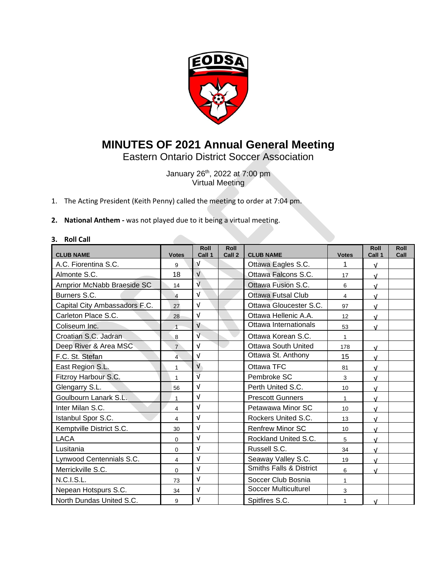

# **MINUTES OF 2021 Annual General Meeting**

Eastern Ontario District Soccer Association

January 26 th, 2022 at 7:00 pm Virtual Meeting

- 1. The Acting President (Keith Penny) called the meeting to order at 7:04 pm.
- **2. National Anthem -** was not played due to it being a virtual meeting.

## **3. Roll Call**

| <b>CLUB NAME</b>              | <b>Votes</b>   | Roll<br>Call 1            | <b>Roll</b><br>Call 2 | <b>CLUB NAME</b>                   | <b>Votes</b> | Roll<br>Call 1 | <b>Roll</b><br>Call |
|-------------------------------|----------------|---------------------------|-----------------------|------------------------------------|--------------|----------------|---------------------|
| A.C. Fiorentina S.C.          | 9              | v                         |                       | Ottawa Eagles S.C.                 | 1            | $\sqrt{ }$     |                     |
| Almonte S.C.                  | 18             | $\sqrt{ }$                |                       | Ottawa Falcons S.C.                | 17           | $\sqrt{ }$     |                     |
| Arnprior McNabb Braeside SC   | 14             | $\overline{\mathsf{v}}$   |                       | Ottawa Fusion S.C.                 | 6            | $\sqrt{ }$     |                     |
| Burners S.C.                  | $\overline{4}$ | V                         |                       | <b>Ottawa Futsal Club</b>          | 4            | $\sqrt{ }$     |                     |
| Capital City Ambassadors F.C. | 27             | ν                         |                       | Ottawa Gloucester S.C.             | 97           | $\sqrt{ }$     |                     |
| Carleton Place S.C.           | 28             | V                         |                       | Ottawa Hellenic A.A.               | 12           | $\sqrt{ }$     |                     |
| Coliseum Inc.                 | $\overline{1}$ | $\sqrt{ }$                |                       | Ottawa Internationals              | 53           | $\sqrt{ }$     |                     |
| Croatian S.C. Jadran          | 8              | $\overline{\mathsf{v}}$   |                       | Ottawa Korean S.C.                 | $\mathbf{1}$ |                |                     |
| Deep River & Area MSC         | $\overline{7}$ | $\sqrt{ }$                |                       | <b>Ottawa South United</b>         | 178          | $\sqrt{ }$     |                     |
| F.C. St. Stefan               | 4              | ν                         |                       | Ottawa St. Anthony                 | 15           | $\sqrt{ }$     |                     |
| East Region S.L.              | 1              | $\ensuremath{\mathsf{V}}$ |                       | Ottawa TFC                         | 81           | $\sqrt{ }$     |                     |
| Fitzroy Harbour S.C.          | 1              | $\overline{\mathsf{v}}$   |                       | Pembroke SC                        | 3            | $\sqrt{ }$     |                     |
| Glengarry S.L.                | 56             | V                         |                       | Perth United S.C.                  | 10           | $\sqrt{ }$     |                     |
| Goulbourn Lanark S.L.         | 1              | $\sqrt{ }$                |                       | <b>Prescott Gunners</b>            | $\mathbf{1}$ | $\sqrt{ }$     |                     |
| Inter Milan S.C.              | 4              | ν                         |                       | Petawawa Minor SC                  | 10           | $\sqrt{ }$     |                     |
| Istanbul Spor S.C.            | 4              | V                         |                       | Rockers United S.C.                | 13           | $\sqrt{ }$     |                     |
| Kemptville District S.C.      | 30             | ν                         |                       | <b>Renfrew Minor SC</b>            | 10           | $\sqrt{ }$     |                     |
| <b>LACA</b>                   | $\Omega$       | V                         |                       | Rockland United S.C.               | 5            | $\sqrt{ }$     |                     |
| Lusitania                     | $\Omega$       | V                         |                       | Russell S.C.                       | 34           | $\sqrt{ }$     |                     |
| Lynwood Centennials S.C.      | 4              | $\sqrt{ }$                |                       | Seaway Valley S.C.                 | 19           | $\sqrt{ }$     |                     |
| Merrickville S.C.             | $\Omega$       | V                         |                       | <b>Smiths Falls &amp; District</b> | 6            | $\sqrt{ }$     |                     |
| <b>N.C.I.S.L.</b>             | 73             | V                         |                       | Soccer Club Bosnia                 | $\mathbf{1}$ |                |                     |
| Nepean Hotspurs S.C.          | 34             | $\sqrt{ }$                |                       | <b>Soccer Multiculturel</b>        | 3            |                |                     |
| North Dundas United S.C.      | 9              | V                         |                       | Spitfires S.C.                     | 1            | $\sqrt{ }$     |                     |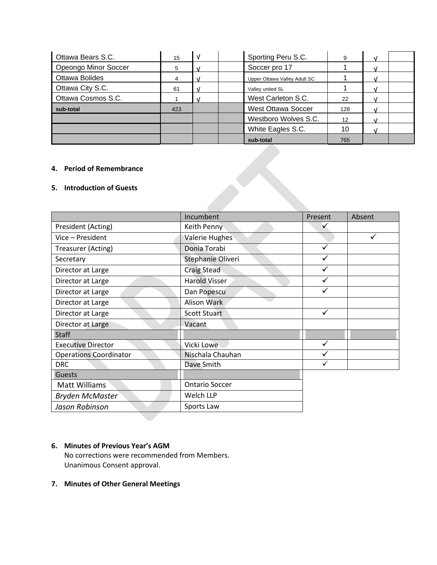| Ottawa Bears S.C.    | 15  | v | Sporting Peru S.C.           | 9   |  |
|----------------------|-----|---|------------------------------|-----|--|
| Opeongo Minor Soccer | 5   |   | Soccer pro 17                |     |  |
| Ottawa Bolides       |     |   | Upper Ottawa Valley Adult SC |     |  |
| Ottawa City S.C.     | 61  |   | Valley united SL             |     |  |
| Ottawa Cosmos S.C.   |     |   | West Carleton S.C.           | 22  |  |
| sub-total            | 423 |   | <b>West Ottawa Soccer</b>    | 128 |  |
|                      |     |   | Westboro Wolves S.C.         | 12  |  |
|                      |     |   | White Eagles S.C.            | 10  |  |
|                      |     |   | sub-total                    | 765 |  |

## **4. Period of Remembrance**

## **5. Introduction of Guests**

|                               | Incumbent             | Present | Absent |
|-------------------------------|-----------------------|---------|--------|
| President (Acting)            | Keith Penny           |         |        |
| Vice - President              | <b>Valerie Hughes</b> |         |        |
| Treasurer (Acting)            | Donia Torabi          | ✓       |        |
| Secretary                     | Stephanie Oliveri     | ✓       |        |
| Director at Large             | <b>Craig Stead</b>    |         |        |
| Director at Large             | <b>Harold Visser</b>  |         |        |
| Director at Large             | Dan Popescu           |         |        |
| Director at Large             | <b>Alison Wark</b>    |         |        |
| Director at Large             | <b>Scott Stuart</b>   | ✓       |        |
| Director at Large             | Vacant                |         |        |
| <b>Staff</b>                  |                       |         |        |
| <b>Executive Director</b>     | Vicki Lowe            | ✓       |        |
| <b>Operations Coordinator</b> | Nischala Chauhan      |         |        |
| <b>DRC</b>                    | Dave Smith            |         |        |
| Guests                        |                       |         |        |
| Matt Williams                 | <b>Ontario Soccer</b> |         |        |
| <b>Bryden McMaster</b>        | Welch LLP             |         |        |
| Jason Robinson                | Sports Law            |         |        |

## **6. Minutes of Previous Year's AGM**

No corrections were recommended from Members. Unanimous Consent approval.

## **7. Minutes of Other General Meetings**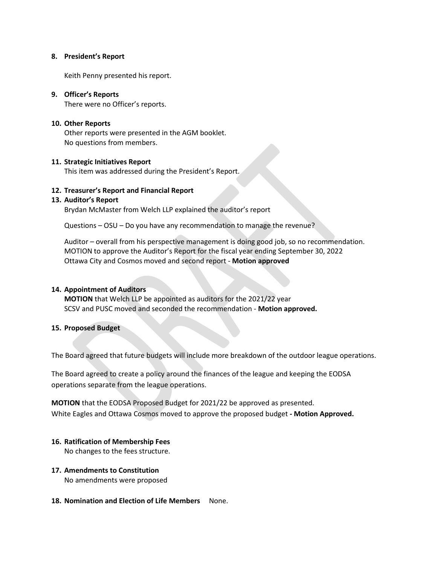#### **8. President's Report**

Keith Penny presented his report.

## **9. Officer's Reports**

There were no Officer's reports.

## **10. Other Reports**

Other reports were presented in the AGM booklet. No questions from members.

## **11. Strategic Initiatives Report**

This item was addressed during the President's Report.

## **12. Treasurer's Report and Financial Report**

## **13. Auditor's Report**

Brydan McMaster from Welch LLP explained the auditor's report

Questions – OSU – Do you have any recommendation to manage the revenue?

Auditor – overall from his perspective management is doing good job, so no recommendation. MOTION to approve the Auditor's Report for the fiscal year ending September 30, 2022 Ottawa City and Cosmos moved and second report - **Motion approved**

#### **14. Appointment of Auditors**

**MOTION** that Welch LLP be appointed as auditors for the 2021/22 year SCSV and PUSC moved and seconded the recommendation - **Motion approved.**

## **15. Proposed Budget**

The Board agreed that future budgets will include more breakdown of the outdoor league operations.

The Board agreed to create a policy around the finances of the league and keeping the EODSA operations separate from the league operations.

**MOTION** that the EODSA Proposed Budget for 2021/22 be approved as presented. White Eagles and Ottawa Cosmos moved to approve the proposed budget **- Motion Approved.**

## **16. Ratification of Membership Fees**

No changes to the fees structure.

## **17. Amendments to Constitution** No amendments were proposed

**18. Nomination and Election of Life Members** None.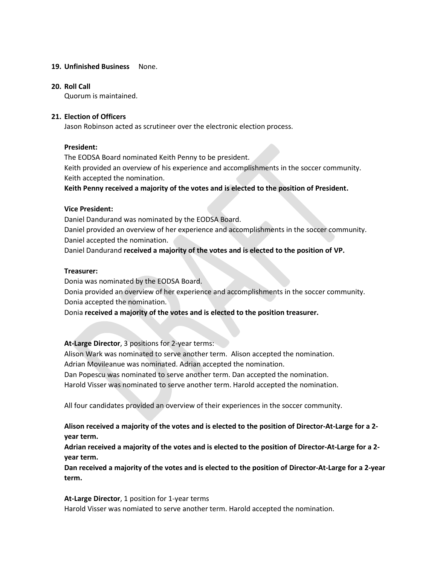## **19. Unfinished Business** None.

#### **20. Roll Call**

Quorum is maintained.

## **21. Election of Officers**

Jason Robinson acted as scrutineer over the electronic election process.

## **President:**

The EODSA Board nominated Keith Penny to be president. Keith provided an overview of his experience and accomplishments in the soccer community. Keith accepted the nomination.

**Keith Penny received a majority of the votes and is elected to the position of President.**

## **Vice President:**

Daniel Dandurand was nominated by the EODSA Board. Daniel provided an overview of her experience and accomplishments in the soccer community. Daniel accepted the nomination. Daniel Dandurand **received a majority of the votes and is elected to the position of VP.**

#### **Treasurer:**

Donia was nominated by the EODSA Board.

Donia provided an overview of her experience and accomplishments in the soccer community. Donia accepted the nomination.

Donia **received a majority of the votes and is elected to the position treasurer.**

**At-Large Director**, 3 positions for 2-year terms:

Alison Wark was nominated to serve another term. Alison accepted the nomination. Adrian Movileanue was nominated. Adrian accepted the nomination.

Dan Popescu was nominated to serve another term. Dan accepted the nomination.

Harold Visser was nominated to serve another term. Harold accepted the nomination.

All four candidates provided an overview of their experiences in the soccer community.

**Alison received a majority of the votes and is elected to the position of Director-At-Large for a 2 year term.**

**Adrian received a majority of the votes and is elected to the position of Director-At-Large for a 2 year term.**

**Dan received a majority of the votes and is elected to the position of Director-At-Large for a 2-year term.**

**At-Large Director**, 1 position for 1-year terms

Harold Visser was nomiated to serve another term. Harold accepted the nomination.